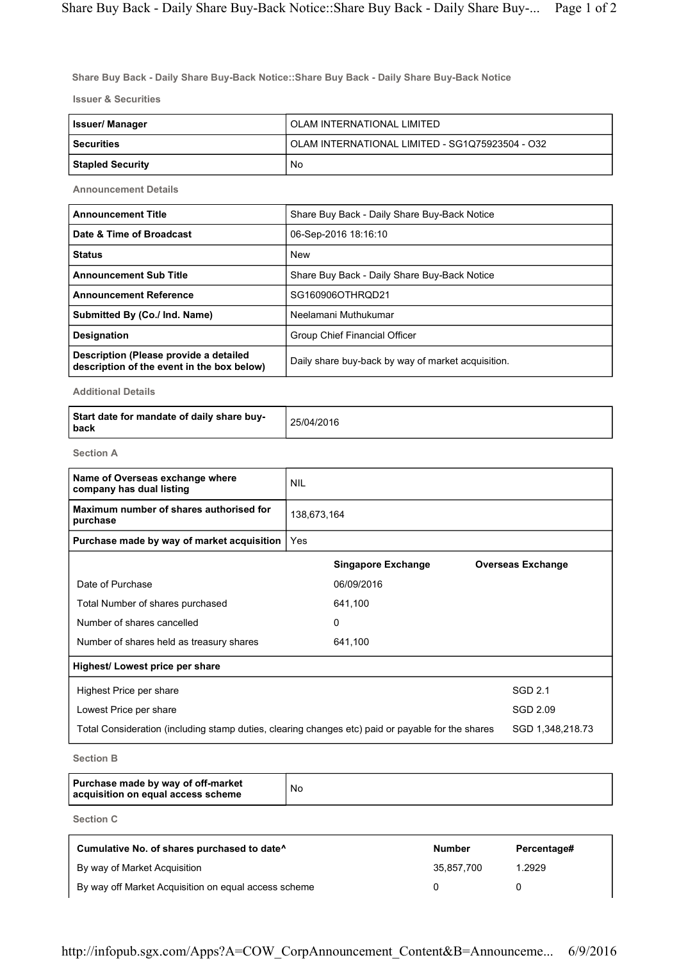Share Buy Back - Daily Share Buy-Back Notice::Share Buy Back - Daily Share Buy-Back Notice

Issuer & Securities

| Issuer/ Manager         | OLAM INTERNATIONAL LIMITED                      |
|-------------------------|-------------------------------------------------|
| <b>Securities</b>       | OLAM INTERNATIONAL LIMITED - SG1Q75923504 - O32 |
| <b>Stapled Security</b> | No                                              |

Announcement Details

| <b>Announcement Title</b>                                                            | Share Buy Back - Daily Share Buy-Back Notice       |  |
|--------------------------------------------------------------------------------------|----------------------------------------------------|--|
| Date & Time of Broadcast                                                             | 06-Sep-2016 18:16:10                               |  |
| <b>Status</b>                                                                        | <b>New</b>                                         |  |
| <b>Announcement Sub Title</b>                                                        | Share Buy Back - Daily Share Buy-Back Notice       |  |
| <b>Announcement Reference</b>                                                        | SG160906OTHROD21                                   |  |
| Submitted By (Co./ Ind. Name)                                                        | Neelamani Muthukumar                               |  |
| <b>Designation</b>                                                                   | Group Chief Financial Officer                      |  |
| Description (Please provide a detailed<br>description of the event in the box below) | Daily share buy-back by way of market acquisition. |  |

Additional Details

| Start date for mandate of daily share buy-<br>l back | 25/04/2016 |
|------------------------------------------------------|------------|
|------------------------------------------------------|------------|

Section A

| Name of Overseas exchange where<br>company has dual listing                                       | <b>NIL</b>  |                           |                          |
|---------------------------------------------------------------------------------------------------|-------------|---------------------------|--------------------------|
| Maximum number of shares authorised for<br>purchase                                               | 138,673,164 |                           |                          |
| Purchase made by way of market acquisition                                                        | Yes         |                           |                          |
|                                                                                                   |             | <b>Singapore Exchange</b> | <b>Overseas Exchange</b> |
| Date of Purchase                                                                                  |             | 06/09/2016                |                          |
| Total Number of shares purchased                                                                  |             | 641,100                   |                          |
| Number of shares cancelled                                                                        |             | 0                         |                          |
| Number of shares held as treasury shares                                                          |             | 641,100                   |                          |
| Highest/ Lowest price per share                                                                   |             |                           |                          |
| Highest Price per share                                                                           |             |                           | SGD 2.1                  |
| Lowest Price per share                                                                            |             |                           | SGD 2.09                 |
| Total Consideration (including stamp duties, clearing changes etc) paid or payable for the shares |             |                           | SGD 1,348,218.73         |
|                                                                                                   |             |                           |                          |

Section B

| Purchase made by way of off-market<br>acquisition on equal access scheme | No |
|--------------------------------------------------------------------------|----|
|--------------------------------------------------------------------------|----|

Section C

| Cumulative No. of shares purchased to date <sup>^</sup> | <b>Number</b> | Percentage# |
|---------------------------------------------------------|---------------|-------------|
| By way of Market Acquisition                            | 35.857.700    | 1.2929      |
| By way off Market Acquisition on equal access scheme    |               |             |